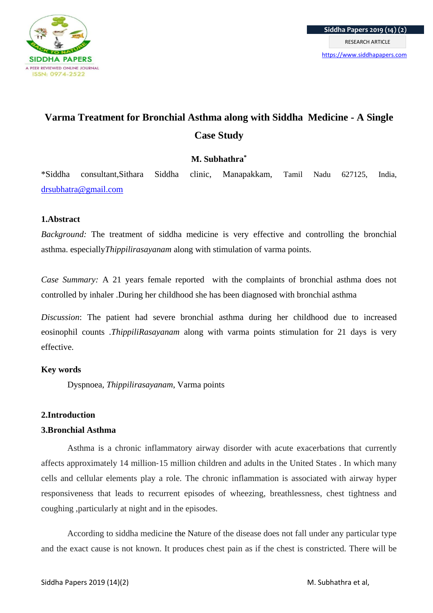

# **Varma Treatment for Bronchial Asthma along with Siddha Medicine - A Single Case Study**

## **M. Subhathra\***

\*Siddha consultant,Sithara Siddha clinic, Manapakkam, Tamil Nadu 627125, India, [drsubhatra@gmail.com](mailto:drsubhatra@gmail.com)

### **1.Abstract**

*Background:* The treatment of siddha medicine is very effective and controlling the bronchial asthma. especially*Thippilirasayanam* along with stimulation of varma points.

*Case Summary:* A 21 years female reported with the complaints of bronchial asthma does not controlled by inhaler .During her childhood she has been diagnosed with bronchial asthma

*Discussion*: The patient had severe bronchial asthma during her childhood due to increased eosinophil counts .*ThippiliRasayanam* along with varma points stimulation for 21 days is very effective.

## **Key words**

Dyspnoea*, Thippilirasayanam*, Varma points

## **2.Introduction**

## **3.Bronchial Asthma**

Asthma is a chronic inflammatory airway disorder with acute exacerbations that currently affects approximately 14 million‐15 million children and adults in the United States . In which many cells and cellular elements play a role. The chronic inflammation is associated with airway hyper responsiveness that leads to recurrent episodes of wheezing, breathlessness, chest tightness and coughing ,particularly at night and in the episodes.

According to siddha medicine the Nature of the disease does not fall under any particular type and the exact cause is not known. It produces chest pain as if the chest is constricted. There will be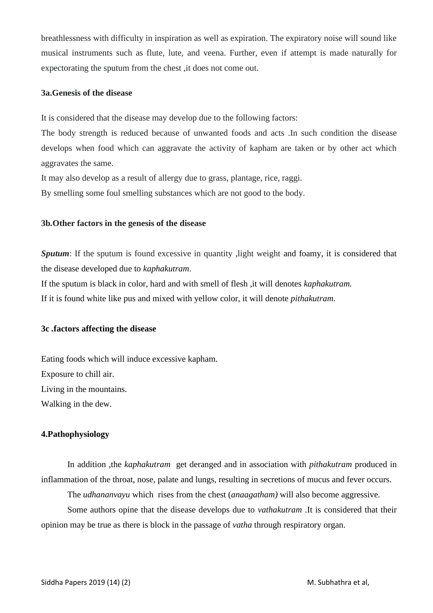breathlessness with difficulty in inspiration as well as expiration. The expiratory noise will sound like musical instruments such as flute, lute, and veena. Further, even if attempt is made naturally for expectorating the sputum from the chest ,it does not come out.

#### **3a.Genesis of the disease**

It is considered that the disease may develop due to the following factors:

The body strength is reduced because of unwanted foods and acts .In such condition the disease develops when food which can aggravate the activity of kapham are taken or by other act which aggravates the same.

It may also develop as a result of allergy due to grass, plantage, rice, raggi.

By smelling some foul smelling substances which are not good to the body.

#### **3b***.***Other factors in the genesis of the disease**

*Sputum*: If the sputum is found excessive in quantity , light weight and foamy, it is considered that the disease developed due to *kaphakutram*.

If the sputum is black in color, hard and with smell of flesh ,it will denotes *kaphakutram.*

If it is found white like pus and mixed with yellow color, it will denote *pithakutram.*

#### **3c** *.***factors affecting the disease**

Eating foods which will induce excessive kapham. Exposure to chill air. Living in the mountains. Walking in the dew.

## **4.Pathophysiology**

In addition ,the *kaphakutram* get deranged and in association with *pithakutram* produced in inflammation of the throat, nose, palate and lungs, resulting in secretions of mucus and fever occurs.

The *udhananvayu* which rises from the chest (*anaagatham)* will also become aggressive.

Some authors opine that the disease develops due to *vathakutram* .It is considered that their opinion may be true as there is block in the passage of *vatha* through respiratory organ.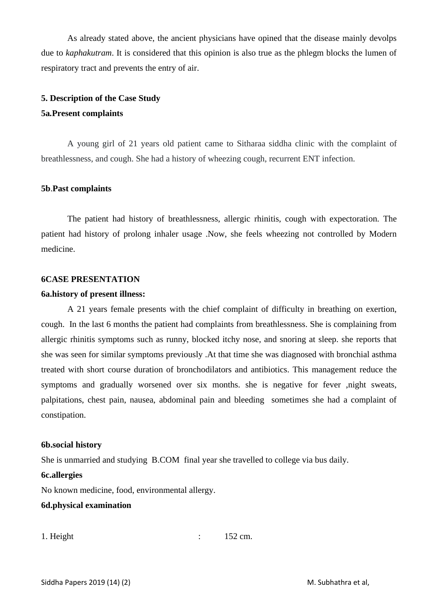As already stated above, the ancient physicians have opined that the disease mainly devolps due to *kaphakutram*. It is considered that this opinion is also true as the phlegm blocks the lumen of respiratory tract and prevents the entry of air.

#### **5. Description of the Case Study**

#### **5a***.***Present complaints**

A young girl of 21 years old patient came to Sitharaa siddha clinic with the complaint of breathlessness, and cough. She had a history of wheezing cough, recurrent ENT infection.

#### **5b**.**Past complaints**

The patient had history of breathlessness, allergic rhinitis, cough with expectoration. The patient had history of prolong inhaler usage .Now, she feels wheezing not controlled by Modern medicine.

#### **6CASE PRESENTATION**

#### **6a.history of present illness:**

A 21 years female presents with the chief complaint of difficulty in breathing on exertion, cough. In the last 6 months the patient had complaints from breathlessness. She is complaining from allergic rhinitis symptoms such as runny, blocked itchy nose, and snoring at sleep. she reports that she was seen for similar symptoms previously .At that time she was diagnosed with bronchial asthma treated with short course duration of bronchodilators and antibiotics. This management reduce the symptoms and gradually worsened over six months. she is negative for fever ,night sweats, palpitations, chest pain, nausea, abdominal pain and bleeding sometimes she had a complaint of constipation.

#### **6b.social history**

She is unmarried and studying B.COM final year she travelled to college via bus daily.

#### **6c.allergies**

No known medicine, food, environmental allergy.

#### **6d.physical examination**

```
1. Height : 152 cm.
```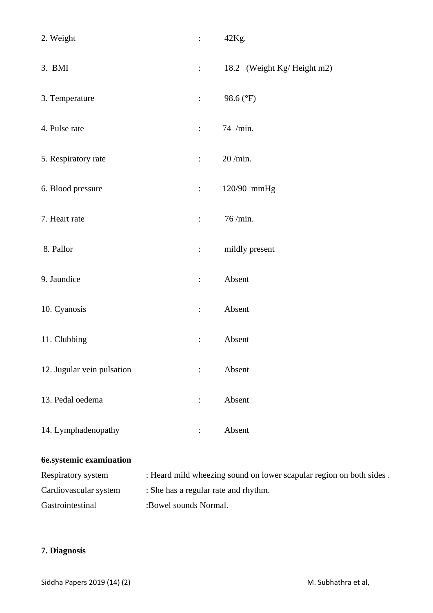| 2. Weight                  | $\mathbb{R}^{\mathbb{Z}}$          | 42Kg.                      |  |
|----------------------------|------------------------------------|----------------------------|--|
| 3. BMI                     | $\mathbb{R}^{\mathbb{Z}}$          | 18.2 (Weight Kg/Height m2) |  |
| 3. Temperature             | $\ddot{\cdot}$                     | 98.6 (°F)                  |  |
| 4. Pulse rate              | $\mathbb{R}^n$                     | 74 /min.                   |  |
| 5. Respiratory rate        | $\mathbb{R}^{\mathbb{Z}}$          | 20 /min.                   |  |
| 6. Blood pressure          | $\mathbb{Z}^{\mathbb{Z}^{\times}}$ | 120/90 mmHg                |  |
| 7. Heart rate              | $\ddot{\cdot}$                     | 76/min.                    |  |
| 8. Pallor                  | $\ddot{\cdot}$                     | mildly present             |  |
| 9. Jaundice                | $\vdots$                           | Absent                     |  |
| 10. Cyanosis               | $\vdots$                           | Absent                     |  |
| 11. Clubbing               | $\ddot{\cdot}$                     | Absent                     |  |
| 12. Jugular vein pulsation | $\ddot{\cdot}$                     | Absent                     |  |
| 13. Pedal oedema           | $\ddot{\cdot}$                     | Absent                     |  |
| 14. Lymphadenopathy        | $\ddot{\cdot}$                     | Absent                     |  |

## **6e.systemic examination**

| Respiratory system    | : Heard mild wheezing sound on lower scapular region on both sides. |
|-----------------------|---------------------------------------------------------------------|
| Cardiovascular system | : She has a regular rate and rhythm.                                |
| Gastrointestinal      | :Bowel sounds Normal.                                               |

## **7. Diagnosis**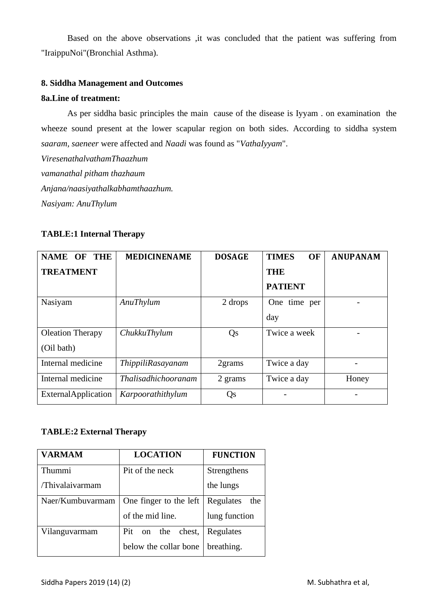Based on the above observations ,it was concluded that the patient was suffering from "IraippuNoi"(Bronchial Asthma).

### **8. Siddha Management and Outcomes**

#### **8a.Line of treatment:**

As per siddha basic principles the main cause of the disease is Iyyam . on examination the wheeze sound present at the lower scapular region on both sides. According to siddha system *saaram, saeneer* were affected and *Naadi* was found as "*VathaIyyam*".

*ViresenathalvathamThaazhum vamanathal pitham thazhaum Anjana/naasiyathalkabhamthaazhum. Nasiyam: AnuThylum*

#### **TABLE:1 Internal Therapy**

| <b>NAME OF</b><br>THE      | <b>MEDICINENAME</b>        | <b>DOSAGE</b> | <b>TIMES</b><br><b>OF</b> | <b>ANUPANAM</b> |
|----------------------------|----------------------------|---------------|---------------------------|-----------------|
| <b>TREATMENT</b>           |                            |               | <b>THE</b>                |                 |
|                            |                            |               | <b>PATIENT</b>            |                 |
| Nasiyam                    | AnuThylum                  | 2 drops       | One time per              |                 |
|                            |                            |               | day                       |                 |
| <b>Oleation Therapy</b>    | ChukkuThylum               | Qs            | Twice a week              |                 |
| (Oil bath)                 |                            |               |                           |                 |
| Internal medicine          | <i>ThippiliRasayanam</i>   | 2grams        | Twice a day               |                 |
| Internal medicine          | <i>Thalisadhichooranam</i> | 2 grams       | Twice a day               | Honey           |
| <b>ExternalApplication</b> | Karpoorathithylum          | Qs            |                           |                 |

#### **TABLE:2 External Therapy**

| <b>VARMAM</b>    | <b>LOCATION</b>         | <b>FUNCTION</b>  |  |
|------------------|-------------------------|------------------|--|
| Thummi           | Pit of the neck         | Strengthens      |  |
| /Thivalaivarmam  |                         | the lungs        |  |
| Naer/Kumbuvarmam | One finger to the left  | Regulates<br>the |  |
|                  | of the mid line.        | lung function    |  |
| Vilanguvarmam    | chest,<br>on the<br>Pit | Regulates        |  |
|                  | below the collar bone   | breathing.       |  |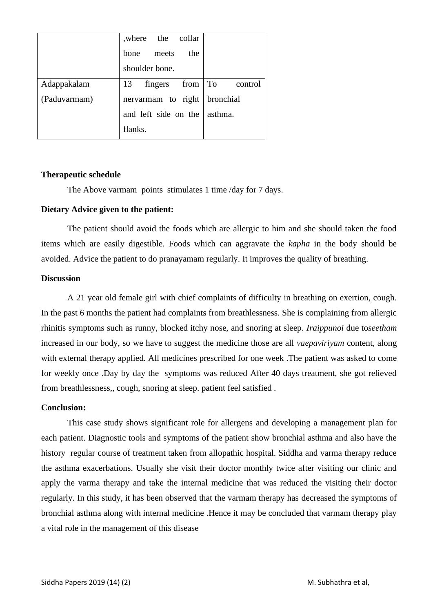|              | where the collar                          |  |
|--------------|-------------------------------------------|--|
|              | the<br>bone meets                         |  |
|              | shoulder bone.                            |  |
| Adappakalam  | $fingers$ from $\boxed{To}$ control<br>13 |  |
| (Paduvarmam) | nervarmam to right   bronchial            |  |
|              | and left side on the asthma.              |  |
|              | flanks.                                   |  |

#### **Therapeutic schedule**

The Above varmam points stimulates 1 time /day for 7 days.

#### **Dietary Advice given to the patient:**

The patient should avoid the foods which are allergic to him and she should taken the food items which are easily digestible. Foods which can aggravate the *kapha* in the body should be avoided. Advice the patient to do pranayamam regularly. It improves the quality of breathing.

#### **Discussion**

A 21 year old female girl with chief complaints of difficulty in breathing on exertion, cough. In the past 6 months the patient had complaints from breathlessness. She is complaining from allergic rhinitis symptoms such as runny, blocked itchy nose, and snoring at sleep. *Iraippunoi* due to*seetham* increased in our body, so we have to suggest the medicine those are all *vaepaviriyam* content, along with external therapy applied. All medicines prescribed for one week .The patient was asked to come for weekly once .Day by day the symptoms was reduced After 40 days treatment, she got relieved from breathlessness,, cough, snoring at sleep. patient feel satisfied .

#### **Conclusion:**

This case study shows significant role for allergens and developing a management plan for each patient. Diagnostic tools and symptoms of the patient show bronchial asthma and also have the history regular course of treatment taken from allopathic hospital. Siddha and varma therapy reduce the asthma exacerbations. Usually she visit their doctor monthly twice after visiting our clinic and apply the varma therapy and take the internal medicine that was reduced the visiting their doctor regularly. In this study, it has been observed that the varmam therapy has decreased the symptoms of bronchial asthma along with internal medicine .Hence it may be concluded that varmam therapy play a vital role in the management of this disease